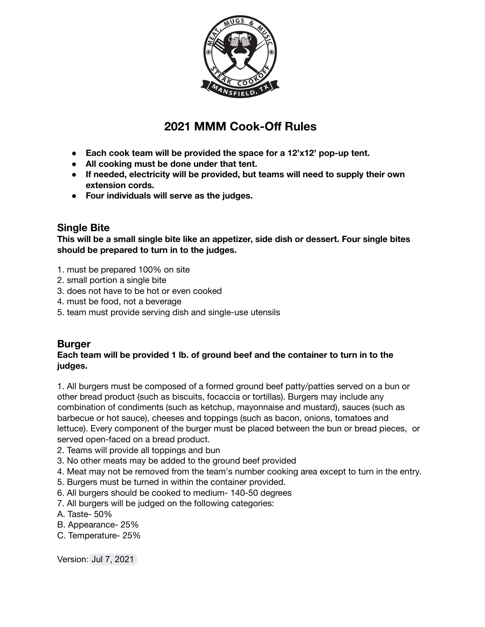

# **2021 MMM Cook-Off Rules**

- **● Each cook team will be provided the space for a 12'x12' pop-up tent.**
- **● All cooking must be done under that tent.**
- **● If needed, electricity will be provided, but teams will need to supply their own extension cords.**
- **● Four individuals will serve as the judges.**

## **Single Bite**

**This will be a small single bite like an appetizer, side dish or dessert. Four single bites should be prepared to turn in to the judges.**

- 1. must be prepared 100% on site
- 2. small portion a single bite
- 3. does not have to be hot or even cooked
- 4. must be food, not a beverage
- 5. team must provide serving dish and single-use utensils

### **Burger**

#### **Each team will be provided 1 lb. of ground beef and the container to turn in to the judges.**

1. All burgers must be composed of a formed ground beef patty/patties served on a bun or other bread product (such as biscuits, focaccia or tortillas). Burgers may include any combination of condiments (such as ketchup, mayonnaise and mustard), sauces (such as barbecue or hot sauce), cheeses and toppings (such as bacon, onions, tomatoes and lettuce). Every component of the burger must be placed between the bun or bread pieces, or served open-faced on a bread product.

- 2. Teams will provide all toppings and bun
- 3. No other meats may be added to the ground beef provided
- 4. Meat may not be removed from the team's number cooking area except to turn in the entry.
- 5. Burgers must be turned in within the container provided.
- 6. All burgers should be cooked to medium- 140-50 degrees
- 7. All burgers will be judged on the following categories:
- A. Taste- 50%
- B. Appearance- 25%
- C. Temperature- 25%

Version: Jul 7, 2021